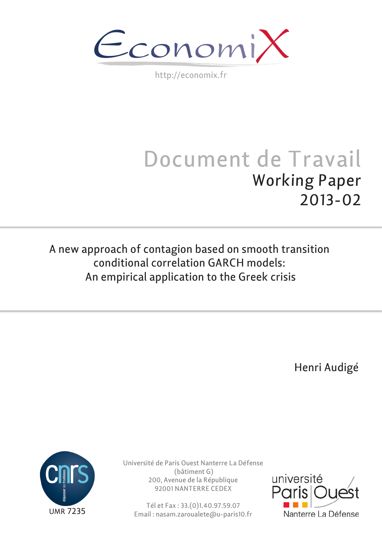$\epsilon$ conomi)

http://economix.fr

# Document de Travail Working Paper 2013-02

A new approach of contagion based on smooth transition conditional correlation GARCH models: An empirical application to the Greek crisis

Henri Audigé



Université de Paris Ouest Nanterre La Défense (bâtiment G) 200, Avenue de la République 92001 NANTERRE CEDEX

Tél et Fax : 33.(0)1.40.97.59.07 Email : nasam.zaroualete@u-paris10.fr

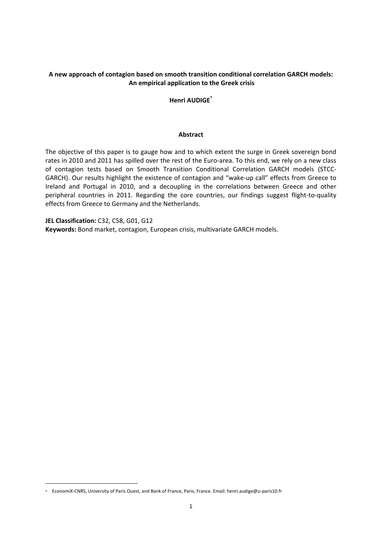#### **A new approach of contagion based on smooth transition conditional correlation GARCH models: An empirical application to the Greek crisis**

**Henri AUDIGE\***

#### **Abstract**

The objective of this paper is to gauge how and to which extent the surge in Greek sovereign bond rates in 2010 and 2011 has spilled over the rest of the Euro-area. To this end, we rely on a new class of contagion tests based on Smooth Transition Conditional Correlation GARCH models (STCC‐ GARCH). Our results highlight the existence of contagion and "wake‐up call" effects from Greece to Ireland and Portugal in 2010, and a decoupling in the correlations between Greece and other peripheral countries in 2011. Regarding the core countries, our findings suggest flight-to-quality effects from Greece to Germany and the Netherlands.

**JEL Classification:** C32, C58, G01, G12 **Keywords:** Bond market, contagion, European crisis, multivariate GARCH models.

-

<sup>\*</sup> EconomiX‐CNRS, University of Paris Ouest, and Bank of France, Paris, France. Email: henri.audige@u‐paris10.fr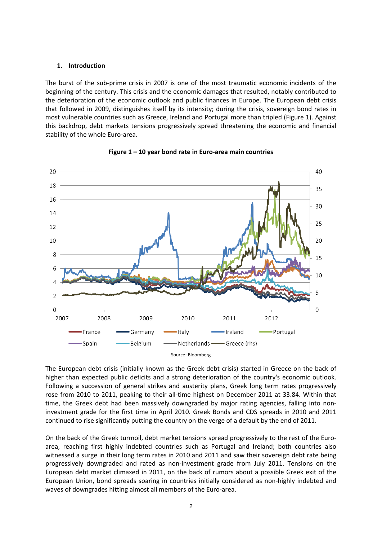#### **1. Introduction**

The burst of the sub‐prime crisis in 2007 is one of the most traumatic economic incidents of the beginning of the century. This crisis and the economic damages that resulted, notably contributed to the deterioration of the economic outlook and public finances in Europe. The European debt crisis that followed in 2009, distinguishes itself by its intensity; during the crisis, sovereign bond rates in most vulnerable countries such as Greece, Ireland and Portugal more than tripled (Figure 1). Against this backdrop, debt markets tensions progressively spread threatening the economic and financial stability of the whole Euro‐area.





The European debt crisis (initially known as the Greek debt crisis) started in Greece on the back of higher than expected public deficits and a strong deterioration of the country's economic outlook. Following a succession of general strikes and austerity plans, Greek long term rates progressively rose from 2010 to 2011, peaking to their all‐time highest on December 2011 at 33.84. Within that time, the Greek debt had been massively downgraded by major rating agencies, falling into noninvestment grade for the first time in April 2010. Greek Bonds and CDS spreads in 2010 and 2011 continued to rise significantly putting the country on the verge of a default by the end of 2011.

On the back of the Greek turmoil, debt market tensions spread progressively to the rest of the Euro‐ area, reaching first highly indebted countries such as Portugal and Ireland; both countries also witnessed a surge in their long term rates in 2010 and 2011 and saw their sovereign debt rate being progressively downgraded and rated as non‐investment grade from July 2011. Tensions on the European debt market climaxed in 2011, on the back of rumors about a possible Greek exit of the European Union, bond spreads soaring in countries initially considered as non‐highly indebted and waves of downgrades hitting almost all members of the Euro-area.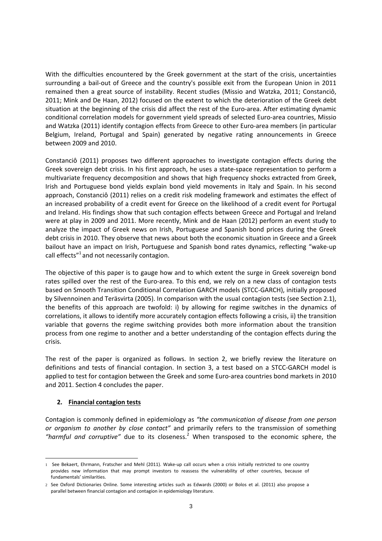With the difficulties encountered by the Greek government at the start of the crisis, uncertainties surrounding a bail-out of Greece and the country's possible exit from the European Union in 2011 remained then a great source of instability. Recent studies (Missio and Watzka, 2011; Constanciô, 2011; Mink and De Haan, 2012) focused on the extent to which the deterioration of the Greek debt situation at the beginning of the crisis did affect the rest of the Euro-area. After estimating dynamic conditional correlation models for government yield spreads of selected Euro-area countries, Missio and Watzka (2011) identify contagion effects from Greece to other Euro-area members (in particular Belgium, Ireland, Portugal and Spain) generated by negative rating announcements in Greece between 2009 and 2010.

Constanciô (2011) proposes two different approaches to investigate contagion effects during the Greek sovereign debt crisis. In his first approach, he uses a state‐space representation to perform a multivariate frequency decomposition and shows that high frequency shocks extracted from Greek, Irish and Portuguese bond yields explain bond yield movements in Italy and Spain. In his second approach, Constanciô (2011) relies on a credit risk modeling framework and estimates the effect of an increased probability of a credit event for Greece on the likelihood of a credit event for Portugal and Ireland. His findings show that such contagion effects between Greece and Portugal and Ireland were at play in 2009 and 2011. More recently, Mink and de Haan (2012) perform an event study to analyze the impact of Greek news on Irish, Portuguese and Spanish bond prices during the Greek debt crisis in 2010. They observe that news about both the economic situation in Greece and a Greek bailout have an impact on Irish, Portuguese and Spanish bond rates dynamics, reflecting "wake‐up call effects"<sup>1</sup> and not necessarily contagion.

The objective of this paper is to gauge how and to which extent the surge in Greek sovereign bond rates spilled over the rest of the Euro-area. To this end, we rely on a new class of contagion tests based on Smooth Transition Conditional Correlation GARCH models (STCC‐GARCH), initially proposed by Silvennoinen and Teräsvirta (2005). In comparison with the usual contagion tests (see Section 2.1), the benefits of this approach are twofold: i) by allowing for regime switches in the dynamics of correlations, it allows to identify more accurately contagion effects following a crisis, ii) the transition variable that governs the regime switching provides both more information about the transition process from one regime to another and a better understanding of the contagion effects during the crisis.

The rest of the paper is organized as follows. In section 2, we briefly review the literature on definitions and tests of financial contagion. In section 3, a test based on a STCC‐GARCH model is applied to test for contagion between the Greek and some Euro‐area countries bond markets in 2010 and 2011. Section 4 concludes the paper.

## **2. Financial contagion tests**

Contagion is commonly defined in epidemiology as *"the communication of disease from one person or organism to another by close contact"* and primarily refers to the transmission of something *"harmful and corruptive"* due to its closeness.2 When transposed to the economic sphere, the

<sup>1</sup> 1 See Bekaert, Ehrmann, Fratscher and Mehl (2011). Wake-up call occurs when a crisis initially restricted to one country provides new information that may prompt investors to reassess the vulnerability of other countries, because of fundamentals' similarities.

<sup>2</sup> See Oxford Dictionaries Online. Some interesting articles such as Edwards (2000) or Bolos et al. (2011) also propose a parallel between financial contagion and contagion in epidemiology literature.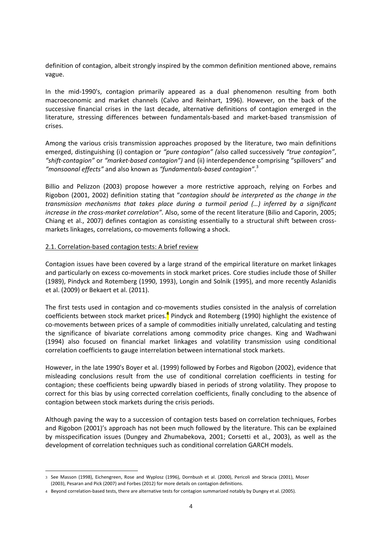definition of contagion, albeit strongly inspired by the common definition mentioned above, remains vague.

In the mid-1990's, contagion primarily appeared as a dual phenomenon resulting from both macroeconomic and market channels (Calvo and Reinhart, 1996). However, on the back of the successive financial crises in the last decade, alternative definitions of contagion emerged in the literature, stressing differences between fundamentals‐based and market‐based transmission of crises.

Among the various crisis transmission approaches proposed by the literature, two main definitions emerged, distinguishing (i) contagion or *"pure contagion" (*also called successively *"true contagion"*, *"shift‐contagion"* or *"market‐based contagion")* and (ii) interdependence comprising "spillovers" and *"monsoonal effects"* and also known as *"fundamentals‐based contagion"*. 3

Billio and Pelizzon (2003) propose however a more restrictive approach, relying on Forbes and Rigobon (2001, 2002) definition stating that "*contagion should be interpreted as the change in the transmission mechanisms that takes place during a turmoil period (…) inferred by a significant increase in the cross‐market correlation".* Also, some of the recent literature (Bilio and Caporin, 2005; Chiang et al., 2007) defines contagion as consisting essentially to a structural shift between cross‐ markets linkages, correlations, co-movements following a shock.

#### 2.1. Correlation‐based contagion tests: A brief review

1

Contagion issues have been covered by a large strand of the empirical literature on market linkages and particularly on excess co-movements in stock market prices. Core studies include those of Shiller (1989), Pindyck and Rotemberg (1990, 1993), Longin and Solnik (1995), and more recently Aslanidis et al. (2009) or Bekaert et al. (2011).

The first tests used in contagion and co-movements studies consisted in the analysis of correlation coefficients between stock market prices.**<sup>4</sup>** Pindyck and Rotemberg (1990) highlight the existence of co-movements between prices of a sample of commodities initially unrelated, calculating and testing the significance of bivariate correlations among commodity price changes. King and Wadhwani (1994) also focused on financial market linkages and volatility transmission using conditional correlation coefficients to gauge interrelation between international stock markets.

However, in the late 1990's Boyer et al. (1999) followed by Forbes and Rigobon (2002), evidence that misleading conclusions result from the use of conditional correlation coefficients in testing for contagion; these coefficients being upwardly biased in periods of strong volatility. They propose to correct for this bias by using corrected correlation coefficients, finally concluding to the absence of contagion between stock markets during the crisis periods.

Although paving the way to a succession of contagion tests based on correlation techniques, Forbes and Rigobon (2001)'s approach has not been much followed by the literature. This can be explained by misspecification issues (Dungey and Zhumabekova, 2001; Corsetti et al., 2003), as well as the development of correlation techniques such as conditional correlation GARCH models.

<sup>3</sup> See Masson (1998), Eichengreen, Rose and Wyplosz (1996), Dornbush et al. (2000), Pericoli and Sbracia (2001), Moser (2003), Pesaran and Pick (2007) and Forbes (2012) for more details on contagion definitions.

<sup>4</sup> Beyond correlation‐based tests, there are alternative tests for contagion summarized notably by Dungey et al. (2005).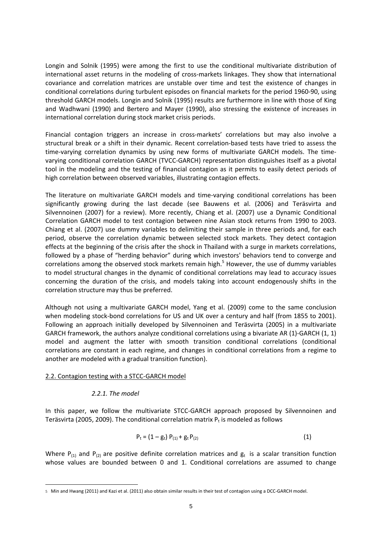Longin and Solnik (1995) were among the first to use the conditional multivariate distribution of international asset returns in the modeling of cross-markets linkages. They show that international covariance and correlation matrices are unstable over time and test the existence of changes in conditional correlations during turbulent episodes on financial markets for the period 1960‐90, using threshold GARCH models. Longin and Solnik (1995) results are furthermore in line with those of King and Wadhwani (1990) and Bertero and Mayer (1990), also stressing the existence of increases in international correlation during stock market crisis periods.

Financial contagion triggers an increase in cross-markets' correlations but may also involve a structural break or a shift in their dynamic. Recent correlation‐based tests have tried to assess the time-varying correlation dynamics by using new forms of multivariate GARCH models. The timevarying conditional correlation GARCH (TVCC‐GARCH) representation distinguishes itself as a pivotal tool in the modeling and the testing of financial contagion as it permits to easily detect periods of high correlation between observed variables, illustrating contagion effects.

The literature on multivariate GARCH models and time-varying conditional correlations has been significantly growing during the last decade (see Bauwens et al. (2006) and Teräsvirta and Silvennoinen (2007) for a review). More recently, Chiang et al. (2007) use a Dynamic Conditional Correlation GARCH model to test contagion between nine Asian stock returns from 1990 to 2003. Chiang et al. (2007) use dummy variables to delimiting their sample in three periods and, for each period, observe the correlation dynamic between selected stock markets. They detect contagion effects at the beginning of the crisis after the shock in Thailand with a surge in markets correlations, followed by a phase of "herding behavior" during which investors' behaviors tend to converge and correlations among the observed stock markets remain high.<sup>5</sup> However, the use of dummy variables to model structural changes in the dynamic of conditional correlations may lead to accuracy issues concerning the duration of the crisis, and models taking into account endogenously shifts in the correlation structure may thus be preferred.

Although not using a multivariate GARCH model, Yang et al. (2009) come to the same conclusion when modeling stock-bond correlations for US and UK over a century and half (from 1855 to 2001). Following an approach initially developed by Silvennoinen and Teräsvirta (2005) in a multivariate GARCH framework, the authors analyze conditional correlations using a bivariate AR (1)‐GARCH (1, 1) model and augment the latter with smooth transition conditional correlations (conditional correlations are constant in each regime, and changes in conditional correlations from a regime to another are modeled with a gradual transition function).

#### 2.2. Contagion testing with a STCC‐GARCH model

## *2.2.1. The model*

1

In this paper, we follow the multivariate STCC-GARCH approach proposed by Silvennoinen and Teräsvirta (2005, 2009). The conditional correlation matrix  $P_t$  is modeled as follows

$$
P_t = (1 - g_t) P_{(1)} + g_t P_{(2)}
$$
 (1)

Where P<sub>(1)</sub> and P<sub>(2)</sub> are positive definite correlation matrices and  $g_t$  is a scalar transition function whose values are bounded between 0 and 1. Conditional correlations are assumed to change

<sup>5</sup> Min and Hwang (2011) and Kazi et al. (2011) also obtain similar results in their test of contagion using a DCC‐GARCH model.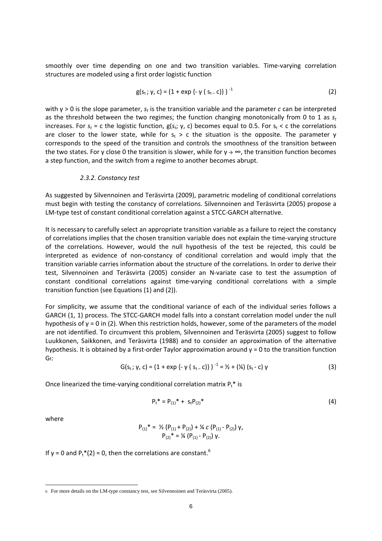smoothly over time depending on one and two transition variables. Time-varying correlation structures are modeled using a first order logistic function

$$
g(s_t; \gamma, c) = (1 + \exp\{-\gamma (s_{t-}c)\})^{-1}
$$
 (2)

with γ > 0 is the slope parameter, *st* is the transition variable and the parameter *c* can be interpreted as the threshold between the two regimes; the function changing monotonically from 0 to 1 as *st* increases. For  $s_t$  = c the logistic function,  $g(s_t; \gamma, c)$  becomes equal to 0.5. For  $s_t < c$  the correlations are closer to the lower state, while for  $s_t > c$  the situation is the opposite. The parameter  $\gamma$ corresponds to the speed of the transition and controls the smoothness of the transition between the two states. For y close 0 the transition is slower, while for  $y \to \infty$ , the transition function becomes a step function, and the switch from a regime to another becomes abrupt.

#### *2.3.2. Constancy test*

As suggested by Silvennoinen and Teräsvirta (2009), parametric modeling of conditional correlations must begin with testing the constancy of correlations. Silvennoinen and Teräsvirta (2005) propose a LM‐type test of constant conditional correlation against a STCC‐GARCH alternative.

It is necessary to carefully select an appropriate transition variable as a failure to reject the constancy of correlations implies that the chosen transition variable does not explain the time‐varying structure of the correlations. However, would the null hypothesis of the test be rejected, this could be interpreted as evidence of non‐constancy of conditional correlation and would imply that the transition variable carries information about the structure of the correlations. In order to derive their test, Silvennoinen and Teräsvirta (2005) consider an N‐variate case to test the assumption of constant conditional correlations against time‐varying conditional correlations with a simple transition function (see Equations (1) and (2)).

For simplicity, we assume that the conditional variance of each of the individual series follows a GARCH (1, 1) process. The STCC‐GARCH model falls into a constant correlation model under the null hypothesis of  $γ = 0$  in (2). When this restriction holds, however, some of the parameters of the model are not identified. To circumvent this problem, Silvennoinen and Teräsvirta (2005) suggest to follow Luukkonen, Saikkonen, and Teräsvirta (1988) and to consider an approximation of the alternative hypothesis. It is obtained by a first-order Taylor approximation around  $y = 0$  to the transition function Gt:

$$
G(s_t; \gamma, c) = (1 + \exp\{-\gamma (s_{t-} c)\})^{-1} = \frac{\gamma}{2} + \left(\frac{\gamma}{4}\right) (s_t - c) \gamma
$$
 (3)

Once linearized the time-varying conditional correlation matrix  $P_t^*$  is

$$
P_t^* = P_{(1)}^* + s_t P_{(2)}^* \tag{4}
$$

where

1

$$
P_{(1)}^* = \frac{1}{2} (P_{(1)} + P_{(2)}) + \frac{1}{4} c (P_{(1)} - P_{(2)}) \gamma,
$$
  
\n
$$
P_{(2)}^* = \frac{1}{4} (P_{(1)} - P_{(2)}) \gamma.
$$

If  $\gamma$  = 0 and P<sub>t</sub>\*(2) = 0, then the correlations are constant.<sup>6</sup>

<sup>6</sup> For more details on the LM-type constancy test, see Silvennoinen and Teräsvirta (2005).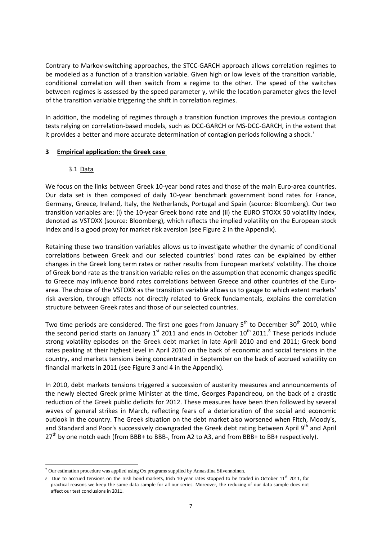Contrary to Markov‐switching approaches, the STCC‐GARCH approach allows correlation regimes to be modeled as a function of a transition variable. Given high or low levels of the transition variable, conditional correlation will then switch from a regime to the other. The speed of the switches between regimes is assessed by the speed parameter γ, while the location parameter gives the level of the transition variable triggering the shift in correlation regimes.

In addition, the modeling of regimes through a transition function improves the previous contagion tests relying on correlation‐based models, such as DCC‐GARCH or MS‐DCC‐GARCH, in the extent that it provides a better and more accurate determination of contagion periods following a shock.<sup>7</sup>

#### **3 Empirical application: the Greek case**

#### 3.1 Data

We focus on the links between Greek 10-year bond rates and those of the main Euro-area countries. Our data set is then composed of daily 10‐year benchmark government bond rates for France, Germany, Greece, Ireland, Italy, the Netherlands, Portugal and Spain (source: Bloomberg). Our two transition variables are: (i) the 10‐year Greek bond rate and (ii) the EURO STOXX 50 volatility index, denoted as VSTOXX (source: Bloomberg), which reflects the implied volatility on the European stock index and is a good proxy for market risk aversion (see Figure 2 in the Appendix).

Retaining these two transition variables allows us to investigate whether the dynamic of conditional correlations between Greek and our selected countries' bond rates can be explained by either changes in the Greek long term rates or rather results from European markets' volatility. The choice of Greek bond rate as the transition variable relies on the assumption that economic changes specific to Greece may influence bond rates correlations between Greece and other countries of the Euroarea. The choice of the VSTOXX as the transition variable allows us to gauge to which extent markets' risk aversion, through effects not directly related to Greek fundamentals, explains the correlation structure between Greek rates and those of our selected countries.

Two time periods are considered. The first one goes from January  $5<sup>th</sup>$  to December 30<sup>th</sup> 2010, while the second period starts on January  $1^{st}$  2011 and ends in October  $10^{th}$  2011.<sup>8</sup> These periods include strong volatility episodes on the Greek debt market in late April 2010 and end 2011; Greek bond rates peaking at their highest level in April 2010 on the back of economic and social tensions in the country, and markets tensions being concentrated in September on the back of accrued volatility on financial markets in 2011 (see Figure 3 and 4 in the Appendix).

In 2010, debt markets tensions triggered a succession of austerity measures and announcements of the newly elected Greek prime Minister at the time, Georges Papandreou, on the back of a drastic reduction of the Greek public deficits for 2012. These measures have been then followed by several waves of general strikes in March, reflecting fears of a deterioration of the social and economic outlook in the country. The Greek situation on the debt market also worsened when Fitch, Moody's, and Standard and Poor's successively downgraded the Greek debt rating between April 9th and April 27<sup>th</sup> by one notch each (from BBB+ to BBB-, from A2 to A3, and from BBB+ to BB+ respectively).

<sup>1</sup>  $<sup>7</sup>$  Our estimation procedure was applied using Ox programs supplied by Annastiina Silvennoinen.</sup>

<sup>8</sup> Due to accrued tensions on the Irish bond markets, Irish 10-year rates stopped to be traded in October 11<sup>th</sup> 2011, for practical reasons we keep the same data sample for all our series. Moreover, the reducing of our data sample does not affect our test conclusions in 2011.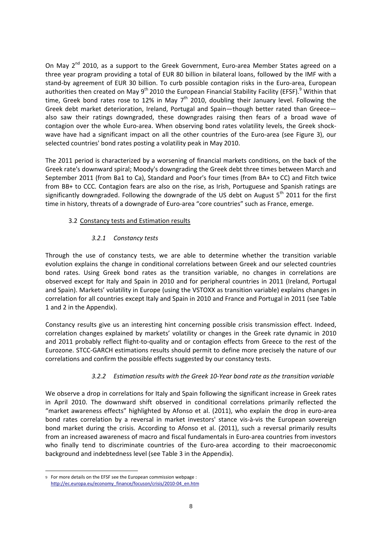On May 2<sup>nd</sup> 2010, as a support to the Greek Government, Euro-area Member States agreed on a three year program providing a total of EUR 80 billion in bilateral loans, followed by the IMF with a stand-by agreement of EUR 30 billion. To curb possible contagion risks in the Euro-area, European authorities then created on May 9<sup>th</sup> 2010 the European Financial Stability Facility (EFSF).<sup>9</sup> Within that time, Greek bond rates rose to 12% in May  $7<sup>th</sup>$  2010, doubling their January level. Following the Greek debt market deterioration, Ireland, Portugal and Spain—though better rated than Greece also saw their ratings downgraded, these downgrades raising then fears of a broad wave of contagion over the whole Euro-area. When observing bond rates volatility levels, the Greek shockwave have had a significant impact on all the other countries of the Euro-area (see Figure 3), our selected countries' bond rates posting a volatility peak in May 2010.

The 2011 period is characterized by a worsening of financial markets conditions, on the back of the Greek rate's downward spiral; Moody's downgrading the Greek debt three times between March and September 2011 (from Ba1 to Ca), Standard and Poor's four times (from BA+ to CC) and Fitch twice from BB+ to CCC. Contagion fears are also on the rise, as Irish, Portuguese and Spanish ratings are significantly downgraded. Following the downgrade of the US debt on August  $5<sup>th</sup>$  2011 for the first time in history, threats of a downgrade of Euro-area "core countries" such as France, emerge.

# 3.2 Constancy tests and Estimation results

# *3.2.1 Constancy tests*

Through the use of constancy tests, we are able to determine whether the transition variable evolution explains the change in conditional correlations between Greek and our selected countries bond rates. Using Greek bond rates as the transition variable, no changes in correlations are observed except for Italy and Spain in 2010 and for peripheral countries in 2011 (Ireland, Portugal and Spain). Markets' volatility in Europe (using the VSTOXX as transition variable) explains changes in correlation for all countries except Italy and Spain in 2010 and France and Portugal in 2011 (see Table 1 and 2 in the Appendix).

Constancy results give us an interesting hint concerning possible crisis transmission effect. Indeed, correlation changes explained by markets' volatility or changes in the Greek rate dynamic in 2010 and 2011 probably reflect flight-to-quality and or contagion effects from Greece to the rest of the Eurozone. STCC‐GARCH estimations results should permit to define more precisely the nature of our correlations and confirm the possible effects suggested by our constancy tests.

# *3.2.2 Estimation results with the Greek 10‐Year bond rate as the transition variable*

We observe a drop in correlations for Italy and Spain following the significant increase in Greek rates in April 2010. The downward shift observed in conditional correlations primarily reflected the "market awareness effects" highlighted by Afonso et al. (2011), who explain the drop in euro‐area bond rates correlation by a reversal in market investors' stance vis‐à‐vis the European sovereign bond market during the crisis. According to Afonso et al. (2011), such a reversal primarily results from an increased awareness of macro and fiscal fundamentals in Euro‐area countries from investors who finally tend to discriminate countries of the Euro-area according to their macroeconomic background and indebtedness level (see Table 3 in the Appendix).

1

<sup>9</sup> For more details on the EFSF see the European commission webpage : http://ec.europa.eu/economy\_finance/focuson/crisis/2010‐04\_en.htm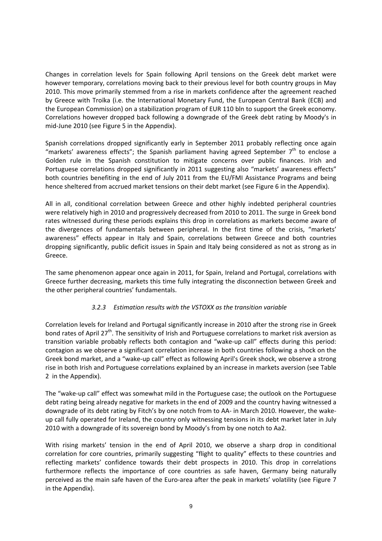Changes in correlation levels for Spain following April tensions on the Greek debt market were however temporary, correlations moving back to their previous level for both country groups in May 2010. This move primarily stemmed from a rise in markets confidence after the agreement reached by Greece with Troïka (i.e. the International Monetary Fund, the European Central Bank (ECB) and the European Commission) on a stabilization program of EUR 110 bln to support the Greek economy. Correlations however dropped back following a downgrade of the Greek debt rating by Moody's in mid‐June 2010 (see Figure 5 in the Appendix).

Spanish correlations dropped significantly early in September 2011 probably reflecting once again "markets' awareness effects"; the Spanish parliament having agreed September  $7<sup>th</sup>$  to enclose a Golden rule in the Spanish constitution to mitigate concerns over public finances. Irish and Portuguese correlations dropped significantly in 2011 suggesting also "markets' awareness effects" both countries benefiting in the end of July 2011 from the EU/FMI Assistance Programs and being hence sheltered from accrued market tensions on their debt market (see Figure 6 in the Appendix).

All in all, conditional correlation between Greece and other highly indebted peripheral countries were relatively high in 2010 and progressively decreased from 2010 to 2011. The surge in Greek bond rates witnessed during these periods explains this drop in correlations as markets become aware of the divergences of fundamentals between peripheral. In the first time of the crisis, "markets' awareness" effects appear in Italy and Spain, correlations between Greece and both countries dropping significantly, public deficit issues in Spain and Italy being considered as not as strong as in Greece.

The same phenomenon appear once again in 2011, for Spain, Ireland and Portugal, correlations with Greece further decreasing, markets this time fully integrating the disconnection between Greek and the other peripheral countries' fundamentals.

## *3.2.3 Estimation results with the VSTOXX as the transition variable*

Correlation levels for Ireland and Portugal significantly increase in 2010 after the strong rise in Greek bond rates of April 27<sup>th</sup>. The sensitivity of Irish and Portuguese correlations to market risk aversion as transition variable probably reflects both contagion and "wake‐up call" effects during this period: contagion as we observe a significant correlation increase in both countries following a shock on the Greek bond market, and a "wake‐up call" effect as following April's Greek shock, we observe a strong rise in both Irish and Portuguese correlations explained by an increase in markets aversion (see Table 2 in the Appendix).

The "wake‐up call" effect was somewhat mild in the Portuguese case; the outlook on the Portuguese debt rating being already negative for markets in the end of 2009 and the country having witnessed a downgrade of its debt rating by Fitch's by one notch from to AA‐ in March 2010. However, the wake‐ up call fully operated for Ireland, the country only witnessing tensions in its debt market later in July 2010 with a downgrade of its sovereign bond by Moody's from by one notch to Aa2.

With rising markets' tension in the end of April 2010, we observe a sharp drop in conditional correlation for core countries, primarily suggesting "flight to quality" effects to these countries and reflecting markets' confidence towards their debt prospects in 2010. This drop in correlations furthermore reflects the importance of core countries as safe haven, Germany being naturally perceived as the main safe haven of the Euro-area after the peak in markets' volatility (see Figure 7 in the Appendix).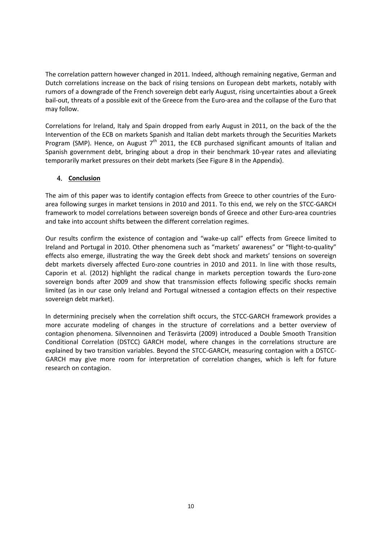The correlation pattern however changed in 2011. Indeed, although remaining negative, German and Dutch correlations increase on the back of rising tensions on European debt markets, notably with rumors of a downgrade of the French sovereign debt early August, rising uncertainties about a Greek bail‐out, threats of a possible exit of the Greece from the Euro‐area and the collapse of the Euro that may follow.

Correlations for Ireland, Italy and Spain dropped from early August in 2011, on the back of the the Intervention of the ECB on markets Spanish and Italian debt markets through the Securities Markets Program (SMP). Hence, on August  $7<sup>th</sup>$  2011, the ECB purchased significant amounts of Italian and Spanish government debt, bringing about a drop in their benchmark 10‐year rates and alleviating temporarily market pressures on their debt markets (See Figure 8 in the Appendix).

## **4.** Conclusion

The aim of this paper was to identify contagion effects from Greece to other countries of the Euroarea following surges in market tensions in 2010 and 2011. To this end, we rely on the STCC‐GARCH framework to model correlations between sovereign bonds of Greece and other Euro-area countries and take into account shifts between the different correlation regimes.

Our results confirm the existence of contagion and "wake‐up call" effects from Greece limited to Ireland and Portugal in 2010. Other phenomena such as "markets' awareness" or "flight‐to‐quality" effects also emerge, illustrating the way the Greek debt shock and markets' tensions on sovereign debt markets diversely affected Euro‐zone countries in 2010 and 2011. In line with those results, Caporin et al. (2012) highlight the radical change in markets perception towards the Euro‐zone sovereign bonds after 2009 and show that transmission effects following specific shocks remain limited (as in our case only Ireland and Portugal witnessed a contagion effects on their respective sovereign debt market).

In determining precisely when the correlation shift occurs, the STCC-GARCH framework provides a more accurate modeling of changes in the structure of correlations and a better overview of contagion phenomena. Silvennoinen and Teräsvirta (2009) introduced a Double Smooth Transition Conditional Correlation (DSTCC) GARCH model, where changes in the correlations structure are explained by two transition variables. Beyond the STCC‐GARCH, measuring contagion with a DSTCC‐ GARCH may give more room for interpretation of correlation changes, which is left for future research on contagion.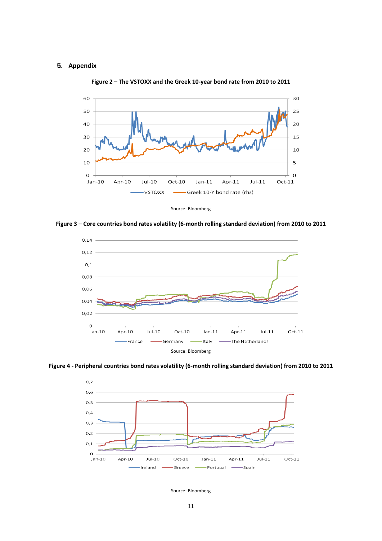#### **5. Appendix**



**Figure 2 – The VSTOXX and the Greek 10‐year bond rate from 2010 to 2011**



Figure 3 - Core countries bond rates volatility (6-month rolling standard deviation) from 2010 to 2011



Figure 4 - Peripheral countries bond rates volatility (6-month rolling standard deviation) from 2010 to 2011



Source: Bloomberg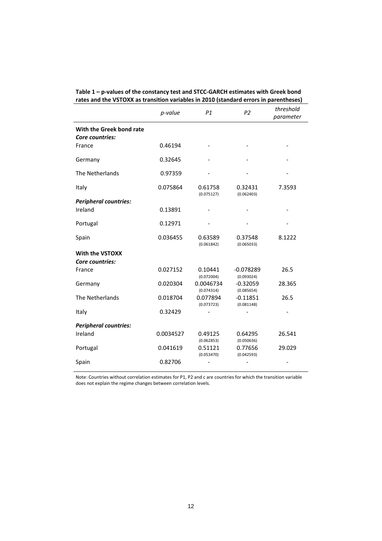|                                             | p-value   | P1                      | P <sub>2</sub>            | threshold<br>parameter |
|---------------------------------------------|-----------|-------------------------|---------------------------|------------------------|
| With the Greek bond rate<br>Core countries: |           |                         |                           |                        |
| France                                      | 0.46194   |                         |                           |                        |
| Germany                                     | 0.32645   |                         |                           |                        |
| The Netherlands                             | 0.97359   |                         |                           |                        |
| Italy                                       | 0.075864  | 0.61758<br>(0.075127)   | 0.32431<br>(0.062403)     | 7.3593                 |
| <b>Peripheral countries:</b>                |           |                         |                           |                        |
| Ireland                                     | 0.13891   |                         |                           |                        |
| Portugal                                    | 0.12971   |                         |                           |                        |
| Spain                                       | 0.036455  | 0.63589<br>(0.061842)   | 0.37548<br>(0.065033)     | 8.1222                 |
| With the VSTOXX                             |           |                         |                           |                        |
| Core countries:                             |           |                         |                           |                        |
| France                                      | 0.027152  | 0.10441<br>(0.072004)   | $-0.078289$<br>(0.093024) | 26.5                   |
| Germany                                     | 0.020304  | 0.0046734<br>(0.074314) | $-0.32059$<br>(0.085654)  | 28.365                 |
| The Netherlands                             | 0.018704  | 0.077894<br>(0.073723)  | $-0.11851$<br>(0.081148)  | 26.5                   |
| Italy                                       | 0.32429   |                         |                           |                        |
| <b>Peripheral countries:</b>                |           |                         |                           |                        |
| Ireland                                     | 0.0034527 | 0.49125<br>(0.062853)   | 0.64295<br>(0.050636)     | 26.541                 |
| Portugal                                    | 0.041619  | 0.51121<br>(0.053470)   | 0.77656<br>(0.042593)     | 29.029                 |
| Spain                                       | 0.82706   |                         |                           |                        |

| Table $1$ – p-values of the constancy test and STCC-GARCH estimates with Greek bond   |
|---------------------------------------------------------------------------------------|
| rates and the VSTOXX as transition variables in 2010 (standard errors in parentheses) |

Note: Countries without correlation estimates for P1, P2 and c are countries for which the transition variable does not explain the regime changes between correlation levels.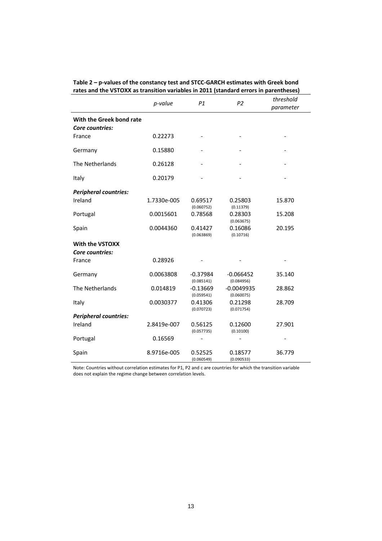|                                             | rates and the volUAA as transition variables in 2011 (standard errors in parentheses) |                          |                            |           |  |  |
|---------------------------------------------|---------------------------------------------------------------------------------------|--------------------------|----------------------------|-----------|--|--|
|                                             | p-value                                                                               | P1                       | P <sub>2</sub>             | threshold |  |  |
|                                             |                                                                                       |                          |                            | parameter |  |  |
| With the Greek bond rate<br>Core countries: |                                                                                       |                          |                            |           |  |  |
| France                                      | 0.22273                                                                               |                          |                            |           |  |  |
| Germany                                     | 0.15880                                                                               |                          |                            |           |  |  |
| The Netherlands                             | 0.26128                                                                               |                          |                            |           |  |  |
| Italy                                       | 0.20179                                                                               |                          |                            |           |  |  |
| <b>Peripheral countries:</b>                |                                                                                       |                          |                            |           |  |  |
| Ireland                                     | 1.7330e-005                                                                           | 0.69517<br>(0.060752)    | 0.25803<br>(0.11379)       | 15.870    |  |  |
| Portugal                                    | 0.0015601                                                                             | 0.78568                  | 0.28303<br>(0.063675)      | 15.208    |  |  |
| Spain                                       | 0.0044360                                                                             | 0.41427<br>(0.063869)    | 0.16086<br>(0.10716)       | 20.195    |  |  |
| <b>With the VSTOXX</b>                      |                                                                                       |                          |                            |           |  |  |
| Core countries:                             |                                                                                       |                          |                            |           |  |  |
| France                                      | 0.28926                                                                               |                          |                            |           |  |  |
| Germany                                     | 0.0063808                                                                             | $-0.37984$<br>(0.085141) | $-0.066452$<br>(0.084956)  | 35.140    |  |  |
| The Netherlands                             | 0.014819                                                                              | $-0.13669$<br>(0.059541) | $-0.0049935$<br>(0.060075) | 28.862    |  |  |
| Italy                                       | 0.0030377                                                                             | 0.41306<br>(0.070723)    | 0.21298<br>(0.071754)      | 28.709    |  |  |
| <b>Peripheral countries:</b>                |                                                                                       |                          |                            |           |  |  |
| Ireland                                     | 2.8419e-007                                                                           | 0.56125<br>(0.057735)    | 0.12600<br>(0.10100)       | 27.901    |  |  |
| Portugal                                    | 0.16569                                                                               |                          |                            |           |  |  |
| Spain                                       | 8.9716e-005                                                                           | 0.52525<br>(0.060549)    | 0.18577<br>(0.090533)      | 36.779    |  |  |

**Table 2 – p‐values of the constancy test and STCC‐GARCH estimates with Greek bond rates and the VSTOXX as transition variables in 2011 (standard errors in parentheses)**

Note: Countries without correlation estimates for P1, P2 and c are countries for which the transition variable does not explain the regime change between correlation levels.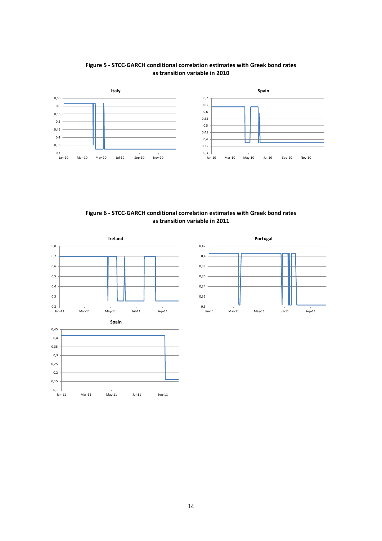

#### **Figure 5 ‐ STCC‐GARCH conditional correlation estimates with Greek bond rates as transition variable in 2010**





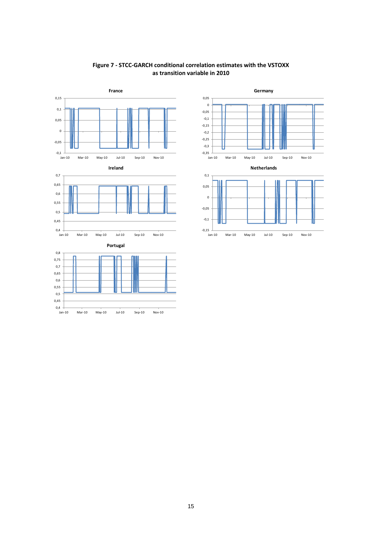

#### **Figure 7 ‐ STCC‐GARCH conditional correlation estimates with the VSTOXX as transition variable in 2010**



**Germany**

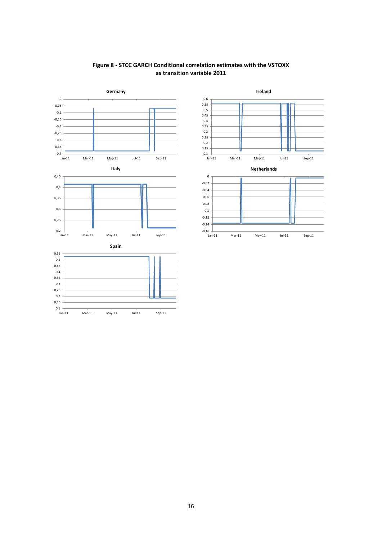



0,35 0,4  $0,45$ 0,5  $0,55$ 0,6







**Ireland**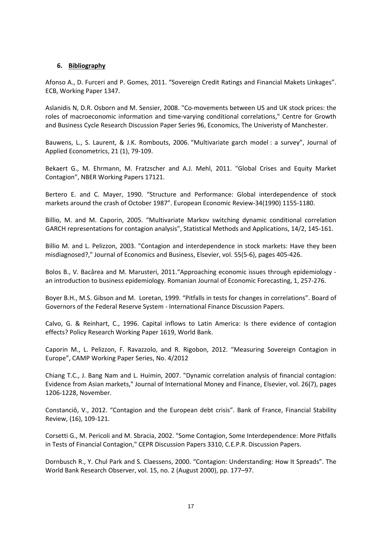#### **6. Bibliography**

Afonso A., D. Furceri and P. Gomes, 2011. "Sovereign Credit Ratings and Financial Makets Linkages". ECB, Working Paper 1347.

Aslanidis N, D.R. Osborn and M. Sensier, 2008. "Co‐movements between US and UK stock prices: the roles of macroeconomic information and time‐varying conditional correlations," Centre for Growth and Business Cycle Research Discussion Paper Series 96, Economics, The Univeristy of Manchester.

Bauwens, L., S. Laurent, & J.K. Rombouts, 2006. "Multivariate garch model : a survey", Journal of Applied Econometrics, 21 (1), 79‐109.

Bekaert G., M. Ehrmann, M. Fratzscher and A.J. Mehl, 2011. "Global Crises and Equity Market Contagion", NBER Working Papers 17121.

Bertero E. and C. Mayer, 1990. "Structure and Performance: Global interdependence of stock markets around the crash of October 1987". European Economic Review‐34(1990) 1155‐1180.

Billio, M. and M. Caporin, 2005. "Multivariate Markov switching dynamic conditional correlation GARCH representations for contagion analysis", Statistical Methods and Applications, 14/2, 145‐161.

Billio M. and L. Pelizzon, 2003. "Contagion and interdependence in stock markets: Have they been misdiagnosed?," Journal of Economics and Business, Elsevier, vol. 55(5‐6), pages 405‐426.

Bolos B., V. Bacârea and M. Marusteri, 2011. "Approaching economic issues through epidemiology an introduction to business epidemiology. Romanian Journal of Economic Forecasting, 1, 257‐276.

Boyer B.H., M.S. Gibson and M. Loretan, 1999. "Pitfalls in tests for changes in correlations". Board of Governors of the Federal Reserve System ‐ International Finance Discussion Papers.

Calvo, G. & Reinhart, C., 1996. Capital inflows to Latin America: Is there evidence of contagion effects? Policy Research Working Paper 1619, World Bank.

Caporin M., L. Pelizzon, F. Ravazzolo, and R. Rigobon, 2012. "Measuring Sovereign Contagion in Europe", CAMP Working Paper Series, No. 4/2012

Chiang T.C., J. Bang Nam and L. Huimin, 2007. "Dynamic correlation analysis of financial contagion: Evidence from Asian markets," Journal of International Money and Finance, Elsevier, vol. 26(7), pages 1206‐1228, November.

Constanciô, V., 2012. "Contagion and the European debt crisis". Bank of France, Financial Stability Review, (16), 109‐121.

Corsetti G., M. Pericoli and M. Sbracia, 2002. "Some Contagion, Some Interdependence: More Pitfalls in Tests of Financial Contagion," CEPR Discussion Papers 3310, C.E.P.R. Discussion Papers.

Dornbusch R., Y. Chul Park and S. Claessens, 2000. "Contagion: Understanding: How It Spreads". The World Bank Research Observer, vol. 15, no. 2 (August 2000), pp. 177–97.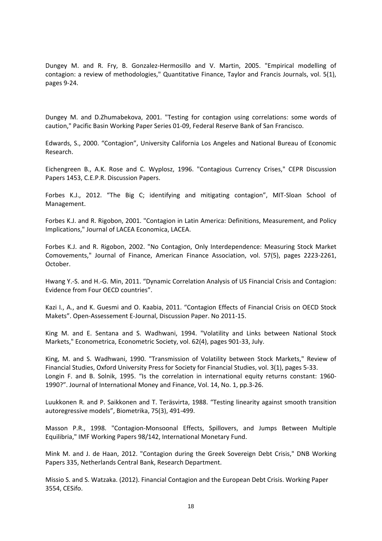Dungey M. and R. Fry, B. Gonzalez-Hermosillo and V. Martin, 2005. "Empirical modelling of contagion: a review of methodologies," Quantitative Finance, Taylor and Francis Journals, vol. 5(1), pages 9‐24.

Dungey M. and D.Zhumabekova, 2001. "Testing for contagion using correlations: some words of caution," Pacific Basin Working Paper Series 01‐09, Federal Reserve Bank of San Francisco.

Edwards, S., 2000. "Contagion", University California Los Angeles and National Bureau of Economic Research.

Eichengreen B., A.K. Rose and C. Wyplosz, 1996. "Contagious Currency Crises," CEPR Discussion Papers 1453, C.E.P.R. Discussion Papers.

Forbes K.J., 2012. "The Big C; identifying and mitigating contagion", MIT‐Sloan School of Management.

Forbes K.J. and R. Rigobon, 2001. "Contagion in Latin America: Definitions, Measurement, and Policy Implications," Journal of LACEA Economica, LACEA.

Forbes K.J. and R. Rigobon, 2002. "No Contagion, Only Interdependence: Measuring Stock Market Comovements," Journal of Finance, American Finance Association, vol. 57(5), pages 2223‐2261, October.

Hwang Y.‐S. and H.‐G. Min, 2011. "Dynamic Correlation Analysis of US Financial Crisis and Contagion: Evidence from Four OECD countries".

Kazi I., A., and K. Guesmi and O. Kaabia, 2011. "Contagion Effects of Financial Crisis on OECD Stock Makets". Open‐Assessement E‐Journal, Discussion Paper. No 2011‐15.

King M. and E. Sentana and S. Wadhwani, 1994. "Volatility and Links between National Stock Markets," Econometrica, Econometric Society, vol. 62(4), pages 901‐33, July.

King, M. and S. Wadhwani, 1990. "Transmission of Volatility between Stock Markets," Review of Financial Studies, Oxford University Press for Society for Financial Studies, vol. 3(1), pages 5‐33. Longin F. and B. Solnik, 1995. "Is the correlation in international equity returns constant: 1960-1990?". Journal of International Money and Finance, Vol. 14, No. 1, pp.3‐26.

Luukkonen R. and P. Saikkonen and T. Teräsvirta, 1988. "Testing linearity against smooth transition autoregressive models", Biometrika, 75(3), 491‐499.

Masson P.R., 1998. "Contagion‐Monsoonal Effects, Spillovers, and Jumps Between Multiple Equilibria," IMF Working Papers 98/142, International Monetary Fund.

Mink M. and J. de Haan, 2012. "Contagion during the Greek Sovereign Debt Crisis," DNB Working Papers 335, Netherlands Central Bank, Research Department.

Missio S. and S. Watzaka. (2012). Financial Contagion and the European Debt Crisis. Working Paper 3554, CESifo.